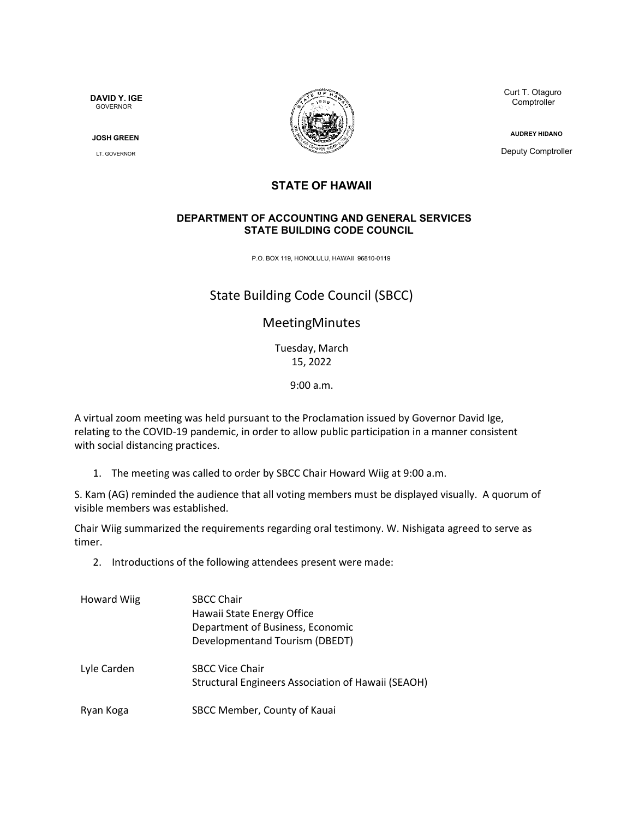**DAVID Y. IGE GOVERNOR** 

**JOSH GREEN**

LT. GOVERNOR



Curt T. Otaguro **Comptroller** 

**AUDREY HIDANO**

Deputy Comptroller

#### **STATE OF HAWAII**

#### **DEPARTMENT OF ACCOUNTING AND GENERAL SERVICES STATE BUILDING CODE COUNCIL**

P.O. BOX 119, HONOLULU, HAWAII 96810-0119

# State Building Code Council (SBCC)

## MeetingMinutes

Tuesday, March 15, 2022

9:00 a.m.

A virtual zoom meeting was held pursuant to the Proclamation issued by Governor David Ige, relating to the COVID-19 pandemic, in order to allow public participation in a manner consistent with social distancing practices.

1. The meeting was called to order by SBCC Chair Howard Wiig at 9:00 a.m.

S. Kam (AG) reminded the audience that all voting members must be displayed visually. A quorum of visible members was established.

Chair Wiig summarized the requirements regarding oral testimony. W. Nishigata agreed to serve as timer.

2. Introductions of the following attendees present were made:

| <b>Howard Wiig</b> | <b>SBCC Chair</b><br>Hawaii State Energy Office<br>Department of Business, Economic<br>Developmentand Tourism (DBEDT) |
|--------------------|-----------------------------------------------------------------------------------------------------------------------|
| Lyle Carden        | <b>SBCC Vice Chair</b><br>Structural Engineers Association of Hawaii (SEAOH)                                          |
| Ryan Koga          | SBCC Member, County of Kauai                                                                                          |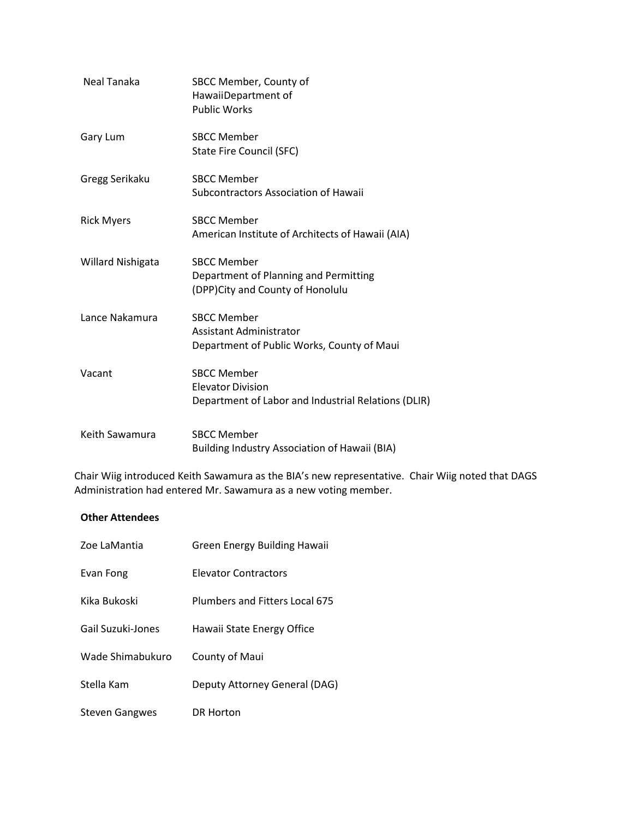| Neal Tanaka              | SBCC Member, County of<br>HawaiiDepartment of<br><b>Public Works</b>                                  |
|--------------------------|-------------------------------------------------------------------------------------------------------|
| Gary Lum                 | <b>SBCC Member</b><br>State Fire Council (SFC)                                                        |
| Gregg Serikaku           | <b>SBCC Member</b><br>Subcontractors Association of Hawaii                                            |
| <b>Rick Myers</b>        | <b>SBCC Member</b><br>American Institute of Architects of Hawaii (AIA)                                |
| <b>Willard Nishigata</b> | <b>SBCC Member</b><br>Department of Planning and Permitting<br>(DPP) City and County of Honolulu      |
| Lance Nakamura           | <b>SBCC Member</b><br>Assistant Administrator<br>Department of Public Works, County of Maui           |
| Vacant                   | <b>SBCC Member</b><br><b>Elevator Division</b><br>Department of Labor and Industrial Relations (DLIR) |
| Keith Sawamura           | <b>SBCC Member</b><br>Building Industry Association of Hawaii (BIA)                                   |

Chair Wiig introduced Keith Sawamura as the BIA's new representative. Chair Wiig noted that DAGS Administration had entered Mr. Sawamura as a new voting member.

#### **Other Attendees**

| Zoe LaMantia      | Green Energy Building Hawaii   |
|-------------------|--------------------------------|
| Evan Fong         | <b>Elevator Contractors</b>    |
| Kika Bukoski      | Plumbers and Fitters Local 675 |
| Gail Suzuki-Jones | Hawaii State Energy Office     |
| Wade Shimabukuro  | County of Maui                 |
| Stella Kam        | Deputy Attorney General (DAG)  |
| Steven Gangwes    | DR Horton                      |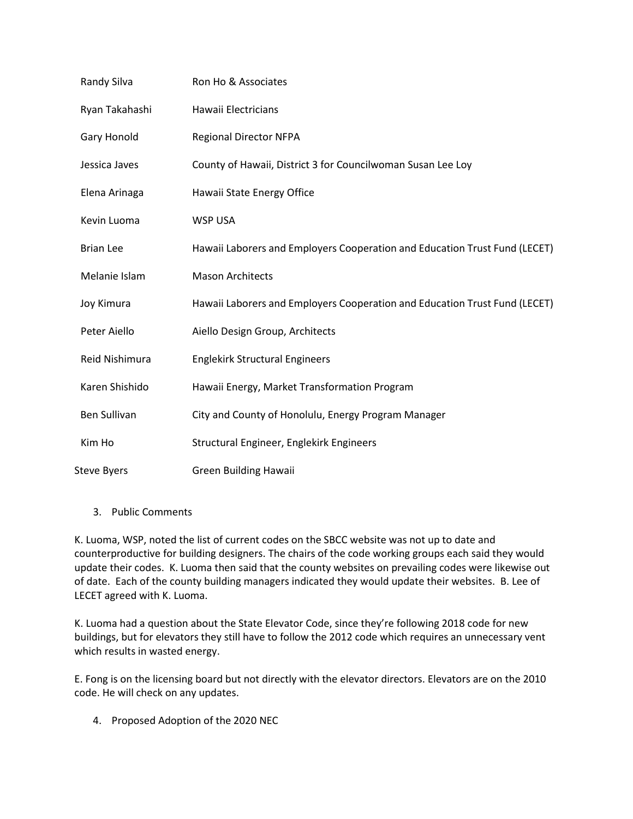| Randy Silva         | Ron Ho & Associates                                                        |
|---------------------|----------------------------------------------------------------------------|
| Ryan Takahashi      | Hawaii Electricians                                                        |
| Gary Honold         | <b>Regional Director NFPA</b>                                              |
| Jessica Javes       | County of Hawaii, District 3 for Councilwoman Susan Lee Loy                |
| Elena Arinaga       | Hawaii State Energy Office                                                 |
| Kevin Luoma         | <b>WSP USA</b>                                                             |
| <b>Brian Lee</b>    | Hawaii Laborers and Employers Cooperation and Education Trust Fund (LECET) |
| Melanie Islam       | <b>Mason Architects</b>                                                    |
| Joy Kimura          | Hawaii Laborers and Employers Cooperation and Education Trust Fund (LECET) |
| Peter Aiello        | Aiello Design Group, Architects                                            |
| Reid Nishimura      | <b>Englekirk Structural Engineers</b>                                      |
| Karen Shishido      | Hawaii Energy, Market Transformation Program                               |
| <b>Ben Sullivan</b> | City and County of Honolulu, Energy Program Manager                        |
| Kim Ho              | Structural Engineer, Englekirk Engineers                                   |
| <b>Steve Byers</b>  | <b>Green Building Hawaii</b>                                               |

3. Public Comments

K. Luoma, WSP, noted the list of current codes on the SBCC website was not up to date and counterproductive for building designers. The chairs of the code working groups each said they would update their codes. K. Luoma then said that the county websites on prevailing codes were likewise out of date. Each of the county building managers indicated they would update their websites. B. Lee of LECET agreed with K. Luoma.

K. Luoma had a question about the State Elevator Code, since they're following 2018 code for new buildings, but for elevators they still have to follow the 2012 code which requires an unnecessary vent which results in wasted energy.

E. Fong is on the licensing board but not directly with the elevator directors. Elevators are on the 2010 code. He will check on any updates.

4. Proposed Adoption of the 2020 NEC